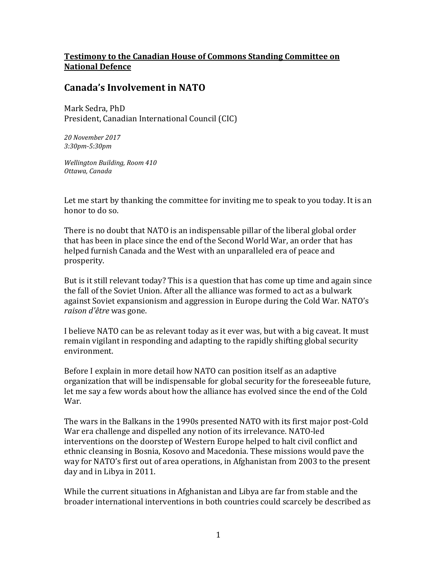## **Testimony to the Canadian House of Commons Standing Committee on National Defence**

## **Canada's Involvement in NATO**

Mark Sedra, PhD President, Canadian International Council (CIC)

*20 November 2017 3:30pm-5:30pm*

*Wellington Building, Room 410 Ottawa, Canada*

Let me start by thanking the committee for inviting me to speak to you today. It is an honor to do so.

There is no doubt that NATO is an indispensable pillar of the liberal global order that has been in place since the end of the Second World War, an order that has helped furnish Canada and the West with an unparalleled era of peace and prosperity.

But is it still relevant today? This is a question that has come up time and again since the fall of the Soviet Union. After all the alliance was formed to act as a bulwark against Soviet expansionism and aggression in Europe during the Cold War. NATO's *raison d'être* was gone.

I believe NATO can be as relevant today as it ever was, but with a big caveat. It must remain vigilant in responding and adapting to the rapidly shifting global security environment.

Before I explain in more detail how NATO can position itself as an adaptive organization that will be indispensable for global security for the foreseeable future, let me say a few words about how the alliance has evolved since the end of the Cold War.

The wars in the Balkans in the 1990s presented NATO with its first major post-Cold War era challenge and dispelled any notion of its irrelevance. NATO-led interventions on the doorstep of Western Europe helped to halt civil conflict and ethnic cleansing in Bosnia, Kosovo and Macedonia. These missions would pave the way for NATO's first out of area operations, in Afghanistan from 2003 to the present day and in Libya in 2011.

While the current situations in Afghanistan and Libya are far from stable and the broader international interventions in both countries could scarcely be described as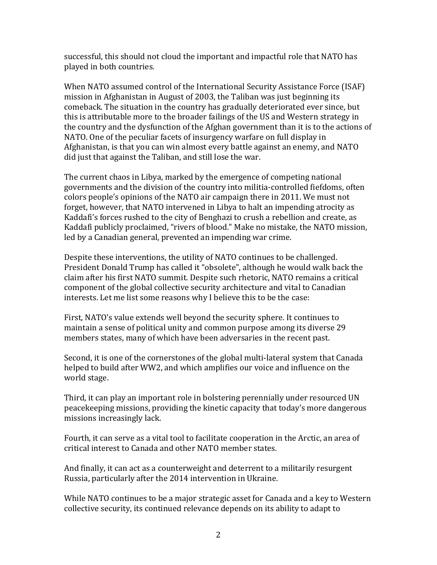successful, this should not cloud the important and impactful role that NATO has played in both countries.

When NATO assumed control of the International Security Assistance Force (ISAF) mission in Afghanistan in August of 2003, the Taliban was just beginning its comeback. The situation in the country has gradually deteriorated ever since, but this is attributable more to the broader failings of the US and Western strategy in the country and the dysfunction of the Afghan government than it is to the actions of NATO. One of the peculiar facets of insurgency warfare on full display in Afghanistan, is that you can win almost every battle against an enemy, and NATO did just that against the Taliban, and still lose the war.

The current chaos in Libya, marked by the emergence of competing national governments and the division of the country into militia-controlled fiefdoms, often colors people's opinions of the NATO air campaign there in 2011. We must not forget, however, that NATO intervened in Libya to halt an impending atrocity as Kaddafi's forces rushed to the city of Benghazi to crush a rebellion and create, as Kaddafi publicly proclaimed, "rivers of blood." Make no mistake, the NATO mission, led by a Canadian general, prevented an impending war crime.

Despite these interventions, the utility of NATO continues to be challenged. President Donald Trump has called it "obsolete", although he would walk back the claim after his first NATO summit. Despite such rhetoric, NATO remains a critical component of the global collective security architecture and vital to Canadian interests. Let me list some reasons why I believe this to be the case:

First, NATO's value extends well beyond the security sphere. It continues to maintain a sense of political unity and common purpose among its diverse 29 members states, many of which have been adversaries in the recent past.

Second, it is one of the cornerstones of the global multi-lateral system that Canada helped to build after WW2, and which amplifies our voice and influence on the world stage.

Third, it can play an important role in bolstering perennially under resourced UN peacekeeping missions, providing the kinetic capacity that today's more dangerous missions increasingly lack.

Fourth, it can serve as a vital tool to facilitate cooperation in the Arctic, an area of critical interest to Canada and other NATO member states.

And finally, it can act as a counterweight and deterrent to a militarily resurgent Russia, particularly after the 2014 intervention in Ukraine.

While NATO continues to be a major strategic asset for Canada and a key to Western collective security, its continued relevance depends on its ability to adapt to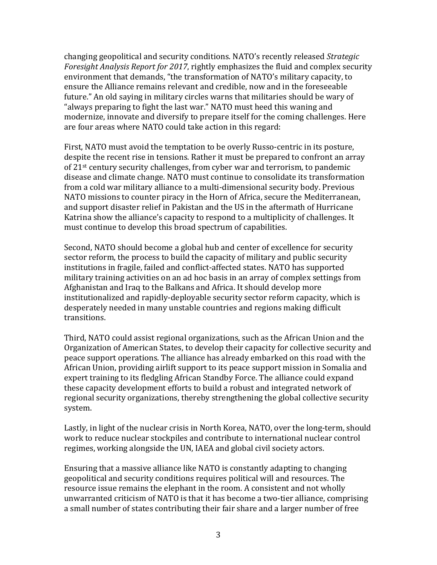changing geopolitical and security conditions. NATO's recently released *Strategic Foresight Analysis Report for 2017*, rightly emphasizes the fluid and complex security environment that demands, "the transformation of NATO's military capacity, to ensure the Alliance remains relevant and credible, now and in the foreseeable future." An old saying in military circles warns that militaries should be wary of "always preparing to fight the last war." NATO must heed this waning and modernize, innovate and diversify to prepare itself for the coming challenges. Here are four areas where NATO could take action in this regard:

First, NATO must avoid the temptation to be overly Russo-centric in its posture, despite the recent rise in tensions. Rather it must be prepared to confront an array of 21st century security challenges, from cyber war and terrorism, to pandemic disease and climate change. NATO must continue to consolidate its transformation from a cold war military alliance to a multi-dimensional security body. Previous NATO missions to counter piracy in the Horn of Africa, secure the Mediterranean, and support disaster relief in Pakistan and the US in the aftermath of Hurricane Katrina show the alliance's capacity to respond to a multiplicity of challenges. It must continue to develop this broad spectrum of capabilities.

Second, NATO should become a global hub and center of excellence for security sector reform, the process to build the capacity of military and public security institutions in fragile, failed and conflict-affected states. NATO has supported military training activities on an ad hoc basis in an array of complex settings from Afghanistan and Iraq to the Balkans and Africa. It should develop more institutionalized and rapidly-deployable security sector reform capacity, which is desperately needed in many unstable countries and regions making difficult transitions.

Third, NATO could assist regional organizations, such as the African Union and the Organization of American States, to develop their capacity for collective security and peace support operations. The alliance has already embarked on this road with the African Union, providing airlift support to its peace support mission in Somalia and expert training to its fledgling African Standby Force. The alliance could expand these capacity development efforts to build a robust and integrated network of regional security organizations, thereby strengthening the global collective security system.

Lastly, in light of the nuclear crisis in North Korea, NATO, over the long-term, should work to reduce nuclear stockpiles and contribute to international nuclear control regimes, working alongside the UN, IAEA and global civil society actors.

Ensuring that a massive alliance like NATO is constantly adapting to changing geopolitical and security conditions requires political will and resources. The resource issue remains the elephant in the room. A consistent and not wholly unwarranted criticism of NATO is that it has become a two-tier alliance, comprising a small number of states contributing their fair share and a larger number of free